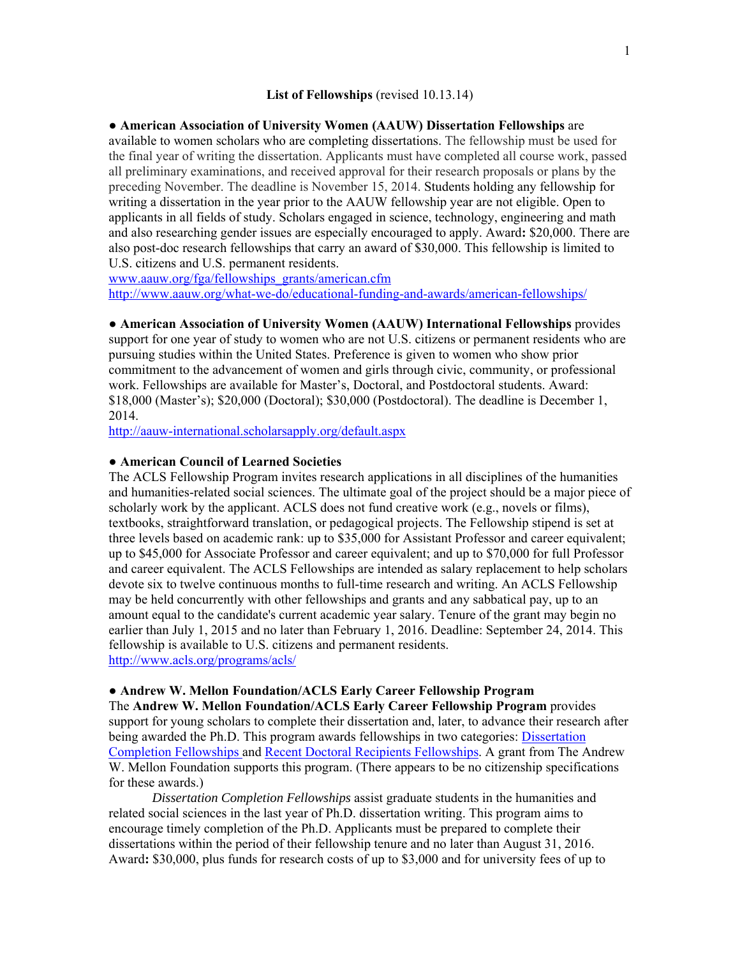### **List of Fellowships** (revised 10.13.14)

### **● American Association of University Women (AAUW) Dissertation Fellowships** are

available to women scholars who are completing dissertations. The fellowship must be used for the final year of writing the dissertation. Applicants must have completed all course work, passed all preliminary examinations, and received approval for their research proposals or plans by the preceding November. The deadline is November 15, 2014. Students holding any fellowship for writing a dissertation in the year prior to the AAUW fellowship year are not eligible. Open to applicants in all fields of study. Scholars engaged in science, technology, engineering and math and also researching gender issues are especially encouraged to apply. Award**:** \$20,000. There are also post-doc research fellowships that carry an award of \$30,000. This fellowship is limited to U.S. citizens and U.S. permanent residents.

www.aauw.org/fga/fellowships\_grants/american.cfm http://www.aauw.org/what-we-do/educational-funding-and-awards/american-fellowships/

#### **● American Association of University Women (AAUW) International Fellowships** provides

support for one year of study to women who are not U.S. citizens or permanent residents who are pursuing studies within the United States. Preference is given to women who show prior commitment to the advancement of women and girls through civic, community, or professional work. Fellowships are available for Master's, Doctoral, and Postdoctoral students. Award: \$18,000 (Master's); \$20,000 (Doctoral); \$30,000 (Postdoctoral). The deadline is December 1, 2014.

http://aauw-international.scholarsapply.org/default.aspx

### **● American Council of Learned Societies**

The ACLS Fellowship Program invites research applications in all disciplines of the humanities and humanities-related social sciences. The ultimate goal of the project should be a major piece of scholarly work by the applicant. ACLS does not fund creative work (e.g., novels or films), textbooks, straightforward translation, or pedagogical projects. The Fellowship stipend is set at three levels based on academic rank: up to \$35,000 for Assistant Professor and career equivalent; up to \$45,000 for Associate Professor and career equivalent; and up to \$70,000 for full Professor and career equivalent. The ACLS Fellowships are intended as salary replacement to help scholars devote six to twelve continuous months to full-time research and writing. An ACLS Fellowship may be held concurrently with other fellowships and grants and any sabbatical pay, up to an amount equal to the candidate's current academic year salary. Tenure of the grant may begin no earlier than July 1, 2015 and no later than February 1, 2016. Deadline: September 24, 2014. This fellowship is available to U.S. citizens and permanent residents. http://www.acls.org/programs/acls/

# **● Andrew W. Mellon Foundation/ACLS Early Career Fellowship Program**

The **Andrew W. Mellon Foundation/ACLS Early Career Fellowship Program** provides support for young scholars to complete their dissertation and, later, to advance their research after being awarded the Ph.D. This program awards fellowships in two categories: Dissertation Completion Fellowships and Recent Doctoral Recipients Fellowships. A grant from The Andrew W. Mellon Foundation supports this program. (There appears to be no citizenship specifications for these awards.)

*Dissertation Completion Fellowships* assist graduate students in the humanities and related social sciences in the last year of Ph.D. dissertation writing. This program aims to encourage timely completion of the Ph.D. Applicants must be prepared to complete their dissertations within the period of their fellowship tenure and no later than August 31, 2016. Award**:** \$30,000, plus funds for research costs of up to \$3,000 and for university fees of up to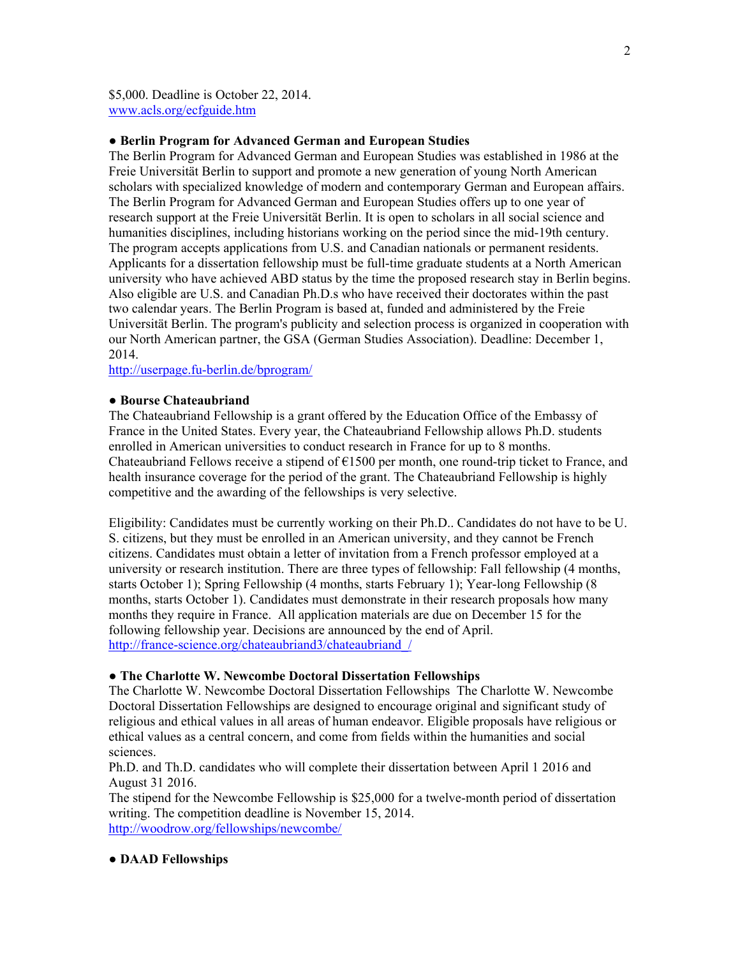\$5,000. Deadline is October 22, 2014. www.acls.org/ecfguide.htm

# **● Berlin Program for Advanced German and European Studies**

The Berlin Program for Advanced German and European Studies was established in 1986 at the Freie Universität Berlin to support and promote a new generation of young North American scholars with specialized knowledge of modern and contemporary German and European affairs. The Berlin Program for Advanced German and European Studies offers up to one year of research support at the Freie Universität Berlin. It is open to scholars in all social science and humanities disciplines, including historians working on the period since the mid-19th century. The program accepts applications from U.S. and Canadian nationals or permanent residents. Applicants for a dissertation fellowship must be full-time graduate students at a North American university who have achieved ABD status by the time the proposed research stay in Berlin begins. Also eligible are U.S. and Canadian Ph.D.s who have received their doctorates within the past two calendar years. The Berlin Program is based at, funded and administered by the Freie Universität Berlin. The program's publicity and selection process is organized in cooperation with our North American partner, the GSA (German Studies Association). Deadline: December 1, 2014.

http://userpage.fu-berlin.de/bprogram/

### **● Bourse Chateaubriand**

The Chateaubriand Fellowship is a grant offered by the Education Office of the Embassy of France in the United States. Every year, the Chateaubriand Fellowship allows Ph.D. students enrolled in American universities to conduct research in France for up to 8 months. Chateaubriand Fellows receive a stipend of  $E1500$  per month, one round-trip ticket to France, and health insurance coverage for the period of the grant. The Chateaubriand Fellowship is highly competitive and the awarding of the fellowships is very selective.

Eligibility: Candidates must be currently working on their Ph.D.. Candidates do not have to be U. S. citizens, but they must be enrolled in an American university, and they cannot be French citizens. Candidates must obtain a letter of invitation from a French professor employed at a university or research institution. There are three types of fellowship: Fall fellowship (4 months, starts October 1); Spring Fellowship (4 months, starts February 1); Year-long Fellowship (8 months, starts October 1). Candidates must demonstrate in their research proposals how many months they require in France. All application materials are due on December 15 for the following fellowship year. Decisions are announced by the end of April. http://france-science.org/chateaubriand3/chateaubriand /

#### **● The Charlotte W. Newcombe Doctoral Dissertation Fellowships**

The Charlotte W. Newcombe Doctoral Dissertation Fellowships The Charlotte W. Newcombe Doctoral Dissertation Fellowships are designed to encourage original and significant study of religious and ethical values in all areas of human endeavor. Eligible proposals have religious or ethical values as a central concern, and come from fields within the humanities and social sciences.

Ph.D. and Th.D. candidates who will complete their dissertation between April 1 2016 and August 31 2016.

The stipend for the Newcombe Fellowship is \$25,000 for a twelve-month period of dissertation writing. The competition deadline is November 15, 2014. http://woodrow.org/fellowships/newcombe/

#### **● DAAD Fellowships**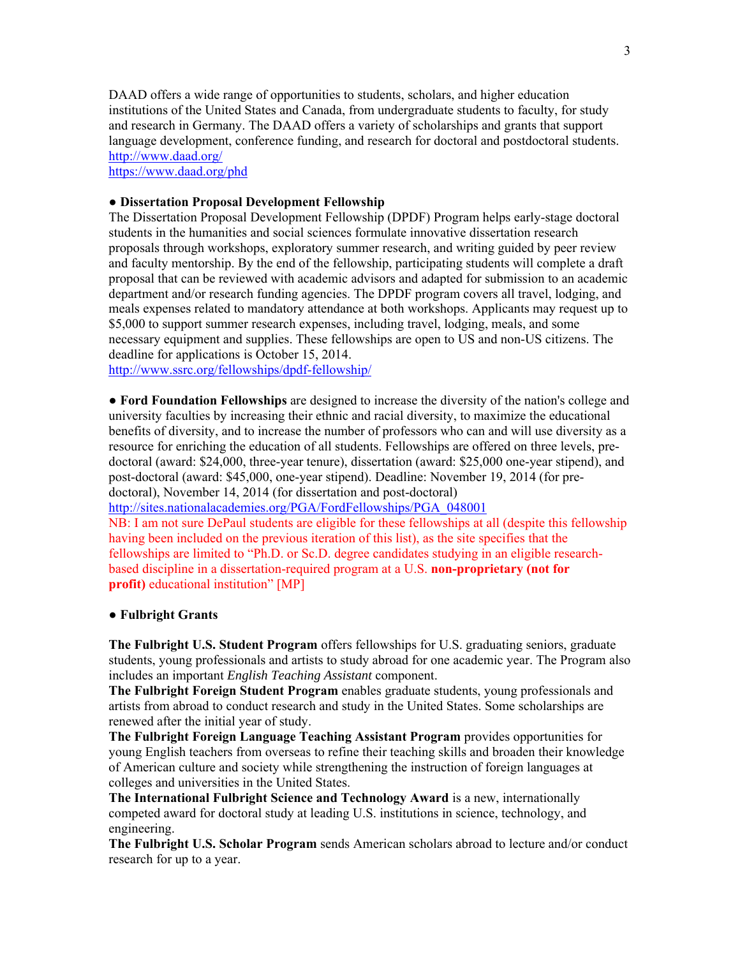DAAD offers a wide range of opportunities to students, scholars, and higher education institutions of the United States and Canada, from undergraduate students to faculty, for study and research in Germany. The DAAD offers a variety of scholarships and grants that support language development, conference funding, and research for doctoral and postdoctoral students. http://www.daad.org/

https://www.daad.org/phd

# **● Dissertation Proposal Development Fellowship**

The Dissertation Proposal Development Fellowship (DPDF) Program helps early-stage doctoral students in the humanities and social sciences formulate innovative dissertation research proposals through workshops, exploratory summer research, and writing guided by peer review and faculty mentorship. By the end of the fellowship, participating students will complete a draft proposal that can be reviewed with academic advisors and adapted for submission to an academic department and/or research funding agencies. The DPDF program covers all travel, lodging, and meals expenses related to mandatory attendance at both workshops. Applicants may request up to \$5,000 to support summer research expenses, including travel, lodging, meals, and some necessary equipment and supplies. These fellowships are open to US and non-US citizens. The deadline for applications is October 15, 2014.

http://www.ssrc.org/fellowships/dpdf-fellowship/

**● Ford Foundation Fellowships** are designed to increase the diversity of the nation's college and university faculties by increasing their ethnic and racial diversity, to maximize the educational benefits of diversity, and to increase the number of professors who can and will use diversity as a resource for enriching the education of all students. Fellowships are offered on three levels, predoctoral (award: \$24,000, three-year tenure), dissertation (award: \$25,000 one-year stipend), and post-doctoral (award: \$45,000, one-year stipend). Deadline: November 19, 2014 (for predoctoral), November 14, 2014 (for dissertation and post-doctoral)

http://sites.nationalacademies.org/PGA/FordFellowships/PGA\_048001

NB: I am not sure DePaul students are eligible for these fellowships at all (despite this fellowship having been included on the previous iteration of this list), as the site specifies that the fellowships are limited to "Ph.D. or Sc.D. degree candidates studying in an eligible researchbased discipline in a dissertation-required program at a U.S. **non-proprietary (not for profit)** educational institution" [MP]

## **● Fulbright Grants**

**The Fulbright U.S. Student Program** offers fellowships for U.S. graduating seniors, graduate students, young professionals and artists to study abroad for one academic year. The Program also includes an important *English Teaching Assistant* component.

**The Fulbright Foreign Student Program** enables graduate students, young professionals and artists from abroad to conduct research and study in the United States. Some scholarships are renewed after the initial year of study.

**The Fulbright Foreign Language Teaching Assistant Program** provides opportunities for young English teachers from overseas to refine their teaching skills and broaden their knowledge of American culture and society while strengthening the instruction of foreign languages at colleges and universities in the United States.

**The International Fulbright Science and Technology Award** is a new, internationally competed award for doctoral study at leading U.S. institutions in science, technology, and engineering.

**The Fulbright U.S. Scholar Program** sends American scholars abroad to lecture and/or conduct research for up to a year.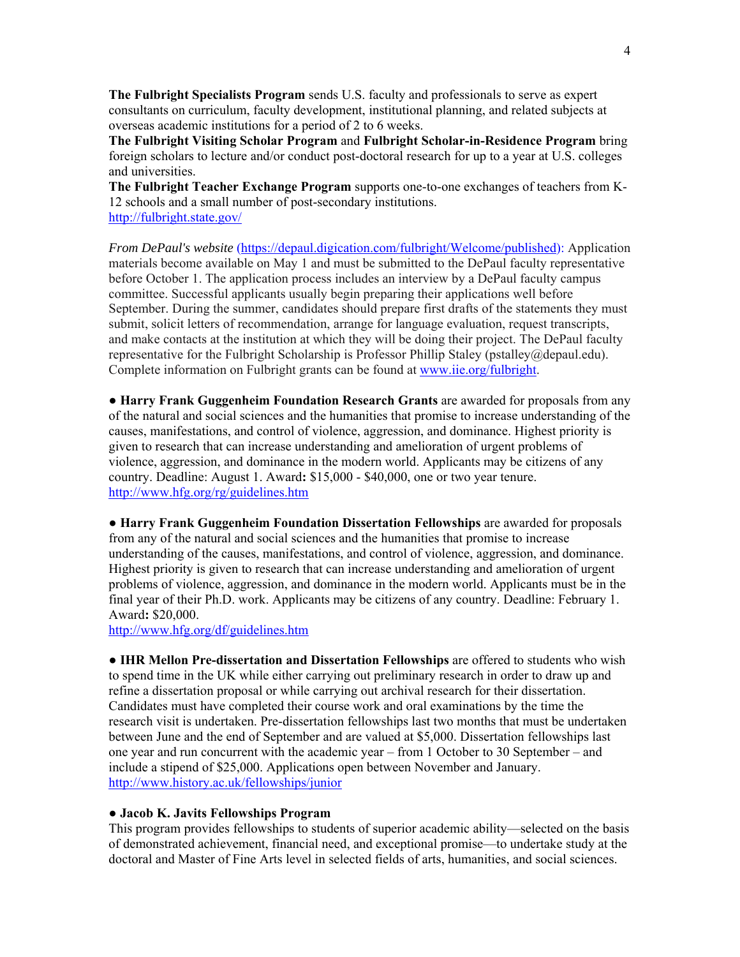**The Fulbright Specialists Program** sends U.S. faculty and professionals to serve as expert consultants on curriculum, faculty development, institutional planning, and related subjects at overseas academic institutions for a period of 2 to 6 weeks.

**The Fulbright Visiting Scholar Program** and **Fulbright Scholar-in-Residence Program** bring foreign scholars to lecture and/or conduct post-doctoral research for up to a year at U.S. colleges and universities.

**The Fulbright Teacher Exchange Program** supports one-to-one exchanges of teachers from K-12 schools and a small number of post-secondary institutions. http://fulbright.state.gov/

*From DePaul's website* (https://depaul.digication.com/fulbright/Welcome/published): Application materials become available on May 1 and must be submitted to the DePaul faculty representative before October 1. The application process includes an interview by a DePaul faculty campus committee. Successful applicants usually begin preparing their applications well before September. During the summer, candidates should prepare first drafts of the statements they must submit, solicit letters of recommendation, arrange for language evaluation, request transcripts, and make contacts at the institution at which they will be doing their project. The DePaul faculty representative for the Fulbright Scholarship is Professor Phillip Staley (pstalley@depaul.edu). Complete information on Fulbright grants can be found at www.iie.org/fulbright.

**● Harry Frank Guggenheim Foundation Research Grants** are awarded for proposals from any of the natural and social sciences and the humanities that promise to increase understanding of the causes, manifestations, and control of violence, aggression, and dominance. Highest priority is given to research that can increase understanding and amelioration of urgent problems of violence, aggression, and dominance in the modern world. Applicants may be citizens of any country. Deadline: August 1. Award**:** \$15,000 - \$40,000, one or two year tenure. http://www.hfg.org/rg/guidelines.htm

**● Harry Frank Guggenheim Foundation Dissertation Fellowships** are awarded for proposals from any of the natural and social sciences and the humanities that promise to increase understanding of the causes, manifestations, and control of violence, aggression, and dominance. Highest priority is given to research that can increase understanding and amelioration of urgent problems of violence, aggression, and dominance in the modern world. Applicants must be in the final year of their Ph.D. work. Applicants may be citizens of any country. Deadline: February 1. Award**:** \$20,000.

http://www.hfg.org/df/guidelines.htm

**● IHR Mellon Pre-dissertation and Dissertation Fellowships** are offered to students who wish to spend time in the UK while either carrying out preliminary research in order to draw up and refine a dissertation proposal or while carrying out archival research for their dissertation. Candidates must have completed their course work and oral examinations by the time the research visit is undertaken. Pre-dissertation fellowships last two months that must be undertaken between June and the end of September and are valued at \$5,000. Dissertation fellowships last one year and run concurrent with the academic year – from 1 October to 30 September – and include a stipend of \$25,000. Applications open between November and January. http://www.history.ac.uk/fellowships/junior

## **● Jacob K. Javits Fellowships Program**

This program provides fellowships to students of superior academic ability—selected on the basis of demonstrated achievement, financial need, and exceptional promise—to undertake study at the doctoral and Master of Fine Arts level in selected fields of arts, humanities, and social sciences.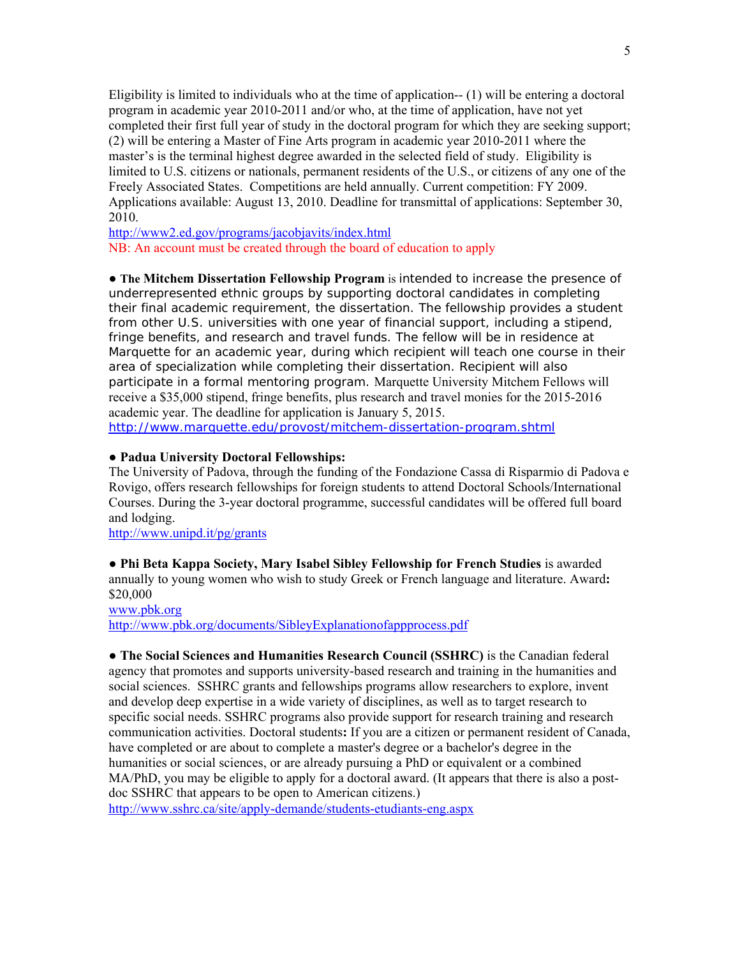Eligibility is limited to individuals who at the time of application-- (1) will be entering a doctoral program in academic year 2010-2011 and/or who, at the time of application, have not yet completed their first full year of study in the doctoral program for which they are seeking support; (2) will be entering a Master of Fine Arts program in academic year 2010-2011 where the master's is the terminal highest degree awarded in the selected field of study. Eligibility is limited to U.S. citizens or nationals, permanent residents of the U.S., or citizens of any one of the Freely Associated States. Competitions are held annually. Current competition: FY 2009. Applications available: August 13, 2010. Deadline for transmittal of applications: September 30, 2010.

http://www2.ed.gov/programs/jacobjavits/index.html NB: An account must be created through the board of education to apply

**● The Mitchem Dissertation Fellowship Program** is intended to increase the presence of underrepresented ethnic groups by supporting doctoral candidates in completing their final academic requirement, the dissertation. The fellowship provides a student from other U.S. universities with one year of financial support, including a stipend, fringe benefits, and research and travel funds. The fellow will be in residence at Marquette for an academic year, during which recipient will teach one course in their area of specialization while completing their dissertation. Recipient will also participate in a formal mentoring program. Marquette University Mitchem Fellows will receive a \$35,000 stipend, fringe benefits, plus research and travel monies for the 2015-2016 academic year. The deadline for application is January 5, 2015. http://www.marquette.edu/provost/mitchem-dissertation-program.shtml

## **● Padua University Doctoral Fellowships:**

The University of Padova, through the funding of the Fondazione Cassa di Risparmio di Padova e Rovigo, offers research fellowships for foreign students to attend Doctoral Schools/International Courses. During the 3-year doctoral programme, successful candidates will be offered full board and lodging.

http://www.unipd.it/pg/grants

**● Phi Beta Kappa Society, Mary Isabel Sibley Fellowship for French Studies** is awarded annually to young women who wish to study Greek or French language and literature. Award**:**  \$20,000

www.pbk.org http://www.pbk.org/documents/SibleyExplanationofappprocess.pdf

**● The Social Sciences and Humanities Research Council (SSHRC)** is the Canadian federal agency that promotes and supports university-based research and training in the humanities and social sciences. SSHRC grants and fellowships programs allow researchers to explore, invent and develop deep expertise in a wide variety of disciplines, as well as to target research to specific social needs. SSHRC programs also provide support for research training and research communication activities. Doctoral students**:** If you are a citizen or permanent resident of Canada, have completed or are about to complete a master's degree or a bachelor's degree in the humanities or social sciences, or are already pursuing a PhD or equivalent or a combined MA/PhD, you may be eligible to apply for a doctoral award. (It appears that there is also a postdoc SSHRC that appears to be open to American citizens.)

http://www.sshrc.ca/site/apply-demande/students-etudiants-eng.aspx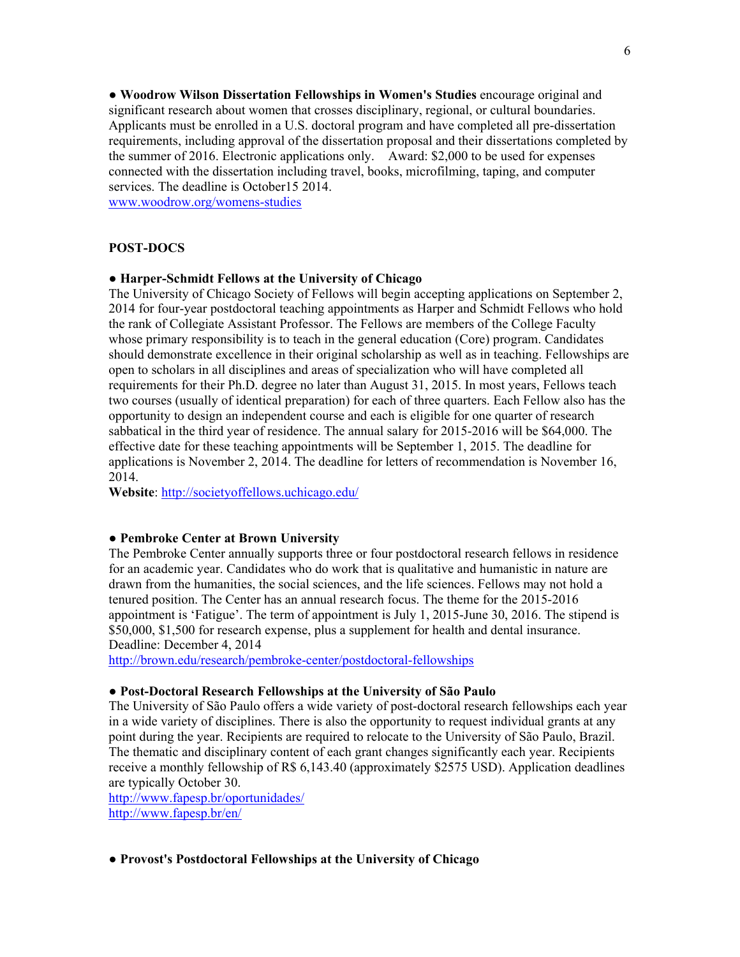**● Woodrow Wilson Dissertation Fellowships in Women's Studies** encourage original and significant research about women that crosses disciplinary, regional, or cultural boundaries. Applicants must be enrolled in a U.S. doctoral program and have completed all pre-dissertation requirements, including approval of the dissertation proposal and their dissertations completed by the summer of 2016. Electronic applications only. Award: \$2,000 to be used for expenses connected with the dissertation including travel, books, microfilming, taping, and computer services. The deadline is October15 2014.

www.woodrow.org/womens-studies

# **POST-DOCS**

# **● Harper-Schmidt Fellows at the University of Chicago**

The University of Chicago Society of Fellows will begin accepting applications on September 2, 2014 for four-year postdoctoral teaching appointments as Harper and Schmidt Fellows who hold the rank of Collegiate Assistant Professor. The Fellows are members of the College Faculty whose primary responsibility is to teach in the general education (Core) program. Candidates should demonstrate excellence in their original scholarship as well as in teaching. Fellowships are open to scholars in all disciplines and areas of specialization who will have completed all requirements for their Ph.D. degree no later than August 31, 2015. In most years, Fellows teach two courses (usually of identical preparation) for each of three quarters. Each Fellow also has the opportunity to design an independent course and each is eligible for one quarter of research sabbatical in the third year of residence. The annual salary for 2015-2016 will be \$64,000. The effective date for these teaching appointments will be September 1, 2015. The deadline for applications is November 2, 2014. The deadline for letters of recommendation is November 16, 2014.

**Website**: http://societyoffellows.uchicago.edu/

# **● Pembroke Center at Brown University**

The Pembroke Center annually supports three or four postdoctoral research fellows in residence for an academic year. Candidates who do work that is qualitative and humanistic in nature are drawn from the humanities, the social sciences, and the life sciences. Fellows may not hold a tenured position. The Center has an annual research focus. The theme for the 2015-2016 appointment is 'Fatigue'. The term of appointment is July 1, 2015-June 30, 2016. The stipend is \$50,000, \$1,500 for research expense, plus a supplement for health and dental insurance. Deadline: December 4, 2014

http://brown.edu/research/pembroke-center/postdoctoral-fellowships

# **● Post-Doctoral Research Fellowships at the University of São Paulo**

The University of São Paulo offers a wide variety of post-doctoral research fellowships each year in a wide variety of disciplines. There is also the opportunity to request individual grants at any point during the year. Recipients are required to relocate to the University of São Paulo, Brazil. The thematic and disciplinary content of each grant changes significantly each year. Recipients receive a monthly fellowship of R\$ 6,143.40 (approximately \$2575 USD). Application deadlines are typically October 30.

http://www.fapesp.br/oportunidades/ http://www.fapesp.br/en/

#### **● Provost's Postdoctoral Fellowships at the University of Chicago**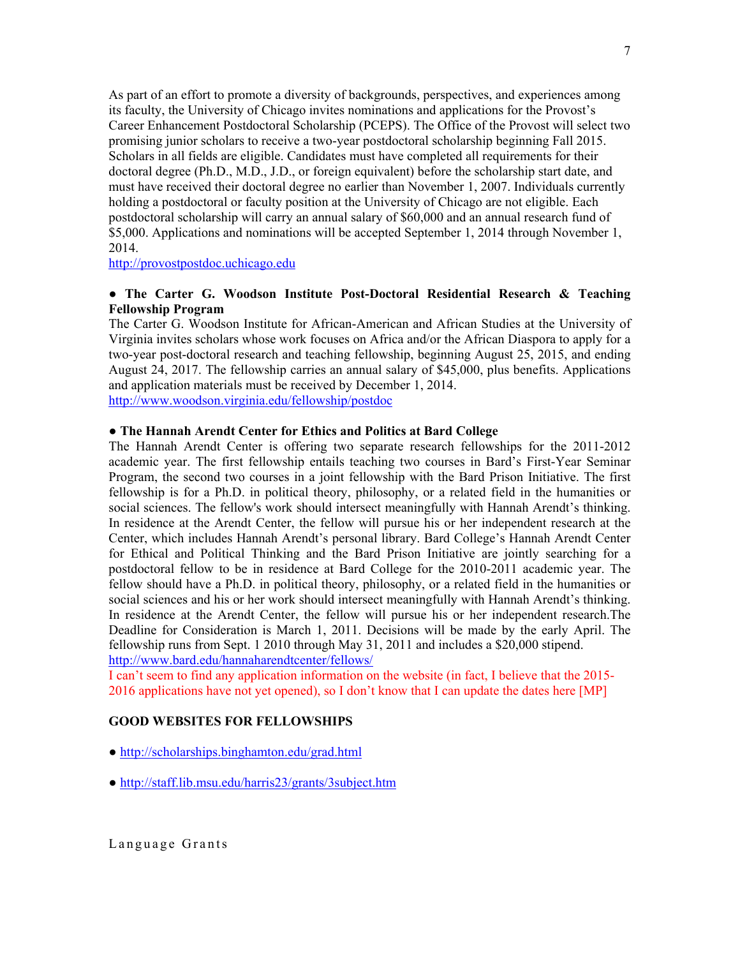As part of an effort to promote a diversity of backgrounds, perspectives, and experiences among its faculty, the University of Chicago invites nominations and applications for the Provost's Career Enhancement Postdoctoral Scholarship (PCEPS). The Office of the Provost will select two promising junior scholars to receive a two-year postdoctoral scholarship beginning Fall 2015. Scholars in all fields are eligible. Candidates must have completed all requirements for their doctoral degree (Ph.D., M.D., J.D., or foreign equivalent) before the scholarship start date, and must have received their doctoral degree no earlier than November 1, 2007. Individuals currently holding a postdoctoral or faculty position at the University of Chicago are not eligible. Each postdoctoral scholarship will carry an annual salary of \$60,000 and an annual research fund of \$5,000. Applications and nominations will be accepted September 1, 2014 through November 1, 2014.

http://provostpostdoc.uchicago.edu

# **● The Carter G. Woodson Institute Post-Doctoral Residential Research & Teaching Fellowship Program**

The Carter G. Woodson Institute for African-American and African Studies at the University of Virginia invites scholars whose work focuses on Africa and/or the African Diaspora to apply for a two-year post-doctoral research and teaching fellowship, beginning August 25, 2015, and ending August 24, 2017. The fellowship carries an annual salary of \$45,000, plus benefits. Applications and application materials must be received by December 1, 2014. http://www.woodson.virginia.edu/fellowship/postdoc

# **● The Hannah Arendt Center for Ethics and Politics at Bard College**

The Hannah Arendt Center is offering two separate research fellowships for the 2011-2012 academic year. The first fellowship entails teaching two courses in Bard's First-Year Seminar Program, the second two courses in a joint fellowship with the Bard Prison Initiative. The first fellowship is for a Ph.D. in political theory, philosophy, or a related field in the humanities or social sciences. The fellow's work should intersect meaningfully with Hannah Arendt's thinking. In residence at the Arendt Center, the fellow will pursue his or her independent research at the Center, which includes Hannah Arendt's personal library. Bard College's Hannah Arendt Center for Ethical and Political Thinking and the Bard Prison Initiative are jointly searching for a postdoctoral fellow to be in residence at Bard College for the 2010-2011 academic year. The fellow should have a Ph.D. in political theory, philosophy, or a related field in the humanities or social sciences and his or her work should intersect meaningfully with Hannah Arendt's thinking. In residence at the Arendt Center, the fellow will pursue his or her independent research.The Deadline for Consideration is March 1, 2011. Decisions will be made by the early April. The fellowship runs from Sept. 1 2010 through May 31, 2011 and includes a \$20,000 stipend. http://www.bard.edu/hannaharendtcenter/fellows/

I can't seem to find any application information on the website (in fact, I believe that the 2015- 2016 applications have not yet opened), so I don't know that I can update the dates here [MP]

## **GOOD WEBSITES FOR FELLOWSHIPS**

- **●** http://scholarships.binghamton.edu/grad.html
- **●** http://staff.lib.msu.edu/harris23/grants/3subject.htm

Language Grants